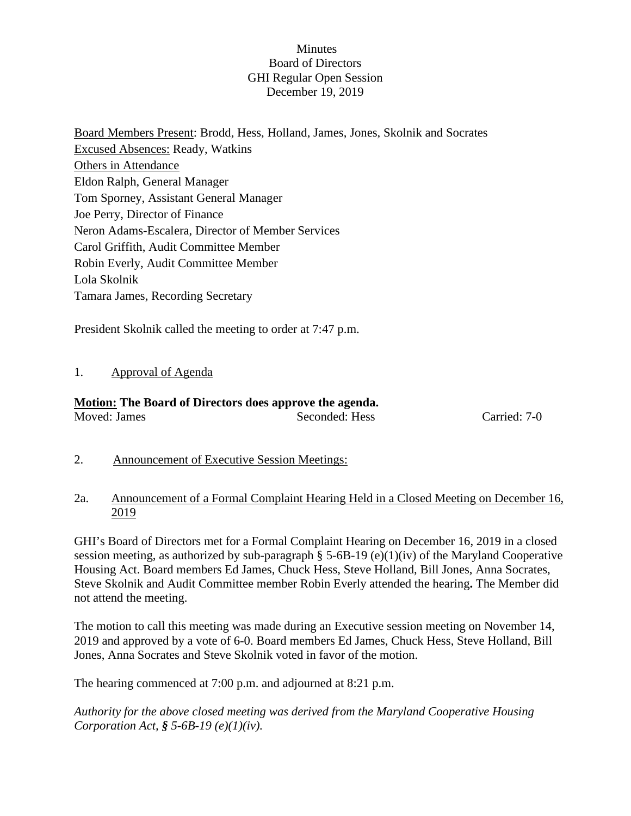### **Minutes** Board of Directors GHI Regular Open Session December 19, 2019

Board Members Present: Brodd, Hess, Holland, James, Jones, Skolnik and Socrates Excused Absences: Ready, Watkins Others in Attendance Eldon Ralph, General Manager Tom Sporney, Assistant General Manager Joe Perry, Director of Finance Neron Adams-Escalera, Director of Member Services Carol Griffith, Audit Committee Member Robin Everly, Audit Committee Member Lola Skolnik Tamara James, Recording Secretary

President Skolnik called the meeting to order at 7:47 p.m.

# 1. Approval of Agenda

#### **Motion: The Board of Directors does approve the agenda.** Moved: James Seconded: Hess Carried: 7-0

2. Announcement of Executive Session Meetings:

#### 2a. Announcement of a Formal Complaint Hearing Held in a Closed Meeting on December 16, 2019

GHI's Board of Directors met for a Formal Complaint Hearing on December 16, 2019 in a closed session meeting, as authorized by sub-paragraph § 5-6B-19 (e)(1)(iv) of the Maryland Cooperative Housing Act. Board members Ed James, Chuck Hess, Steve Holland, Bill Jones, Anna Socrates, Steve Skolnik and Audit Committee member Robin Everly attended the hearing**.** The Member did not attend the meeting.

The motion to call this meeting was made during an Executive session meeting on November 14, 2019 and approved by a vote of 6-0. Board members Ed James, Chuck Hess, Steve Holland, Bill Jones, Anna Socrates and Steve Skolnik voted in favor of the motion.

The hearing commenced at 7:00 p.m. and adjourned at 8:21 p.m.

*Authority for the above closed meeting was derived from the Maryland Cooperative Housing Corporation Act, § 5-6B-19 (e)(1)(iv).*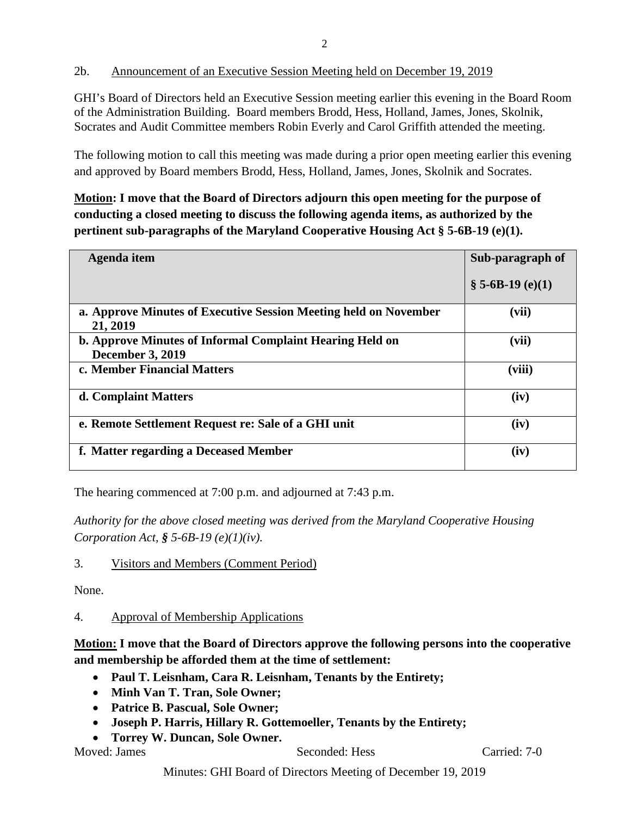# 2b. Announcement of an Executive Session Meeting held on December 19, 2019

GHI's Board of Directors held an Executive Session meeting earlier this evening in the Board Room of the Administration Building. Board members Brodd, Hess, Holland, James, Jones, Skolnik, Socrates and Audit Committee members Robin Everly and Carol Griffith attended the meeting.

The following motion to call this meeting was made during a prior open meeting earlier this evening and approved by Board members Brodd, Hess, Holland, James, Jones, Skolnik and Socrates.

**Motion: I move that the Board of Directors adjourn this open meeting for the purpose of conducting a closed meeting to discuss the following agenda items, as authorized by the pertinent sub-paragraphs of the Maryland Cooperative Housing Act § 5-6B-19 (e)(1).** 

| Agenda item                                                                         | Sub-paragraph of |
|-------------------------------------------------------------------------------------|------------------|
|                                                                                     | $$5-6B-19(e)(1)$ |
| a. Approve Minutes of Executive Session Meeting held on November<br>21, 2019        | (vii)            |
| b. Approve Minutes of Informal Complaint Hearing Held on<br><b>December 3, 2019</b> | (vii)            |
| c. Member Financial Matters                                                         | (viii)           |
| d. Complaint Matters                                                                | (iv)             |
| e. Remote Settlement Request re: Sale of a GHI unit                                 | (iv)             |
| f. Matter regarding a Deceased Member                                               | (iv)             |

The hearing commenced at 7:00 p.m. and adjourned at 7:43 p.m.

*Authority for the above closed meeting was derived from the Maryland Cooperative Housing Corporation Act, § 5-6B-19 (e)(1)(iv).* 

# 3. Visitors and Members (Comment Period)

None.

# 4. Approval of Membership Applications

**Motion: I move that the Board of Directors approve the following persons into the cooperative and membership be afforded them at the time of settlement:**

- **Paul T. Leisnham, Cara R. Leisnham, Tenants by the Entirety;**
- **Minh Van T. Tran, Sole Owner;**
- **Patrice B. Pascual, Sole Owner;**
- **Joseph P. Harris, Hillary R. Gottemoeller, Tenants by the Entirety;**
- **Torrey W. Duncan, Sole Owner.**

Moved: James Seconded: Hess Carried: 7-0

Minutes: GHI Board of Directors Meeting of December 19, 2019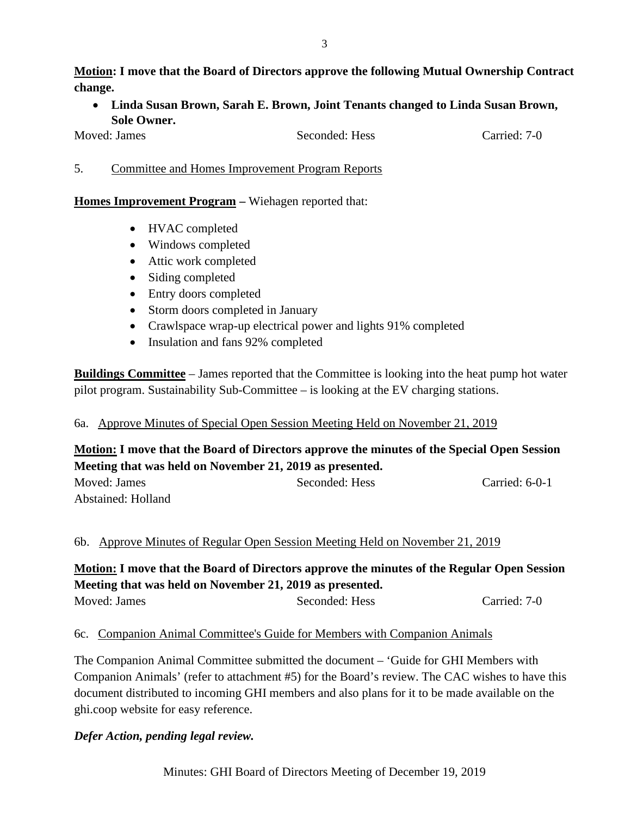**Motion: I move that the Board of Directors approve the following Mutual Ownership Contract change.**

• **Linda Susan Brown, Sarah E. Brown, Joint Tenants changed to Linda Susan Brown, Sole Owner.**

Moved: James Seconded: Hess Carried: 7-0

|  | . | Committee and Homes Improvement Program Reports |  |  |  |  |
|--|---|-------------------------------------------------|--|--|--|--|
|--|---|-------------------------------------------------|--|--|--|--|

#### **Homes Improvement Program –** Wiehagen reported that:

- HVAC completed
- Windows completed
- Attic work completed
- Siding completed
- Entry doors completed
- Storm doors completed in January
- Crawlspace wrap-up electrical power and lights 91% completed
- Insulation and fans 92% completed

**Buildings Committee** – James reported that the Committee is looking into the heat pump hot water pilot program. Sustainability Sub-Committee – is looking at the EV charging stations.

# 6a. Approve Minutes of Special Open Session Meeting Held on November 21, 2019

# **Motion: I move that the Board of Directors approve the minutes of the Special Open Session Meeting that was held on November 21, 2019 as presented.**

| Moved: James       | Seconded: Hess | Carried: $6-0-1$ |
|--------------------|----------------|------------------|
| Abstained: Holland |                |                  |

# 6b. Approve Minutes of Regular Open Session Meeting Held on November 21, 2019

**Motion: I move that the Board of Directors approve the minutes of the Regular Open Session Meeting that was held on November 21, 2019 as presented.** Moved: James Seconded: Hess Carried: 7-0

# 6c. Companion Animal Committee's Guide for Members with Companion Animals

The Companion Animal Committee submitted the document – 'Guide for GHI Members with Companion Animals' (refer to attachment #5) for the Board's review. The CAC wishes to have this document distributed to incoming GHI members and also plans for it to be made available on the ghi.coop website for easy reference.

# *Defer Action, pending legal review.*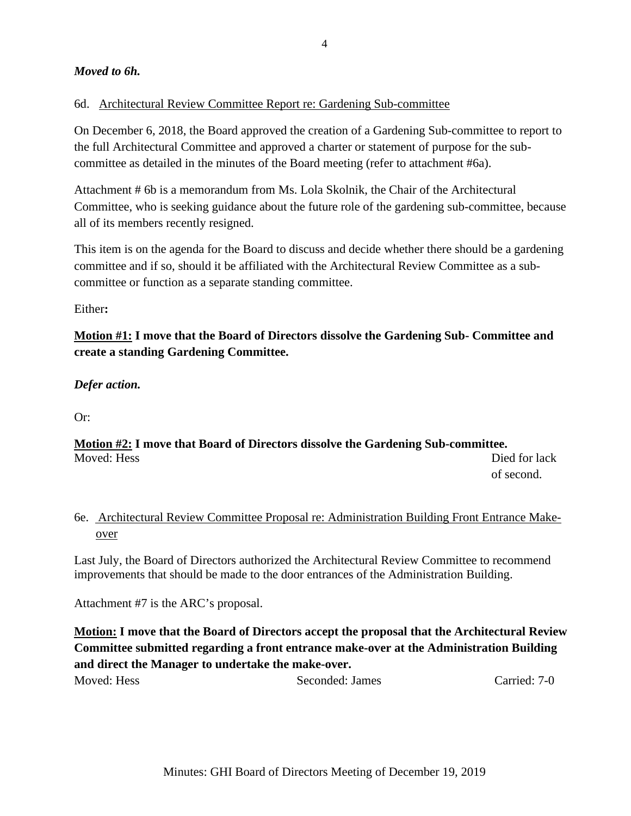# *Moved to 6h.*

#### 6d. Architectural Review Committee Report re: Gardening Sub-committee

On December 6, 2018, the Board approved the creation of a Gardening Sub-committee to report to the full Architectural Committee and approved a charter or statement of purpose for the subcommittee as detailed in the minutes of the Board meeting (refer to attachment #6a).

Attachment # 6b is a memorandum from Ms. Lola Skolnik, the Chair of the Architectural Committee, who is seeking guidance about the future role of the gardening sub-committee, because all of its members recently resigned.

This item is on the agenda for the Board to discuss and decide whether there should be a gardening committee and if so, should it be affiliated with the Architectural Review Committee as a subcommittee or function as a separate standing committee.

Either**:**

**Motion #1: I move that the Board of Directors dissolve the Gardening Sub- Committee and create a standing Gardening Committee.**

# *Defer action.*

Or:

**Motion #2: I move that Board of Directors dissolve the Gardening Sub-committee.** Moved: Hess Died for lack of second.

# 6e. Architectural Review Committee Proposal re: Administration Building Front Entrance Make over

Last July, the Board of Directors authorized the Architectural Review Committee to recommend improvements that should be made to the door entrances of the Administration Building.

Attachment #7 is the ARC's proposal.

**Motion: I move that the Board of Directors accept the proposal that the Architectural Review Committee submitted regarding a front entrance make-over at the Administration Building and direct the Manager to undertake the make-over.**

| Carried: 7-0<br>Seconded: James |
|---------------------------------|
|                                 |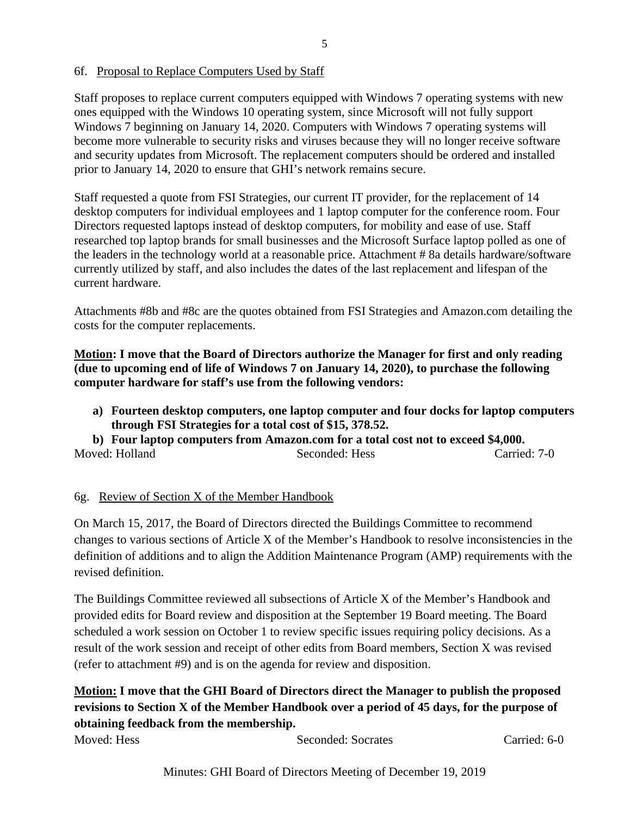#### 6f. Proposal to Replace Computers Used by Staff

Staff proposes to replace current computers equipped with Windows 7 operating systems with new ones equipped with the Windows 10 operating system, since Microsoft will not fully support Windows 7 beginning on January 14, 2020. Computers with Windows 7 operating systems will become more vulnerable to security risks and viruses because they will no longer receive software and security updates from Microsoft. The replacement computers should be ordered and installed prior to January 14, 2020 to ensure that GHI's network remains secure.

Staff requested a quote from FSI Strategies, our current IT provider, for the replacement of 14 desktop computers for individual employees and 1 laptop computer for the conference room. Four Directors requested laptops instead of desktop computers, for mobility and ease of use. Staff researched top laptop brands for small businesses and the Microsoft Surface laptop polled as one of the leaders in the technology world at a reasonable price. Attachment # 8a details hardware/software currently utilized by staff, and also includes the dates of the last replacement and lifespan of the current hardware.

Attachments #8b and #8c are the quotes obtained from FSI Strategies and Amazon.com detailing the costs for the computer replacements.

**Motion: I move that the Board of Directors authorize the Manager for first and only reading (due to upcoming end of life of Windows 7 on January 14, 2020), to purchase the following computer hardware for staff's use from the following vendors:**

**a) Fourteen desktop computers, one laptop computer and four docks for laptop computers through FSI Strategies for a total cost of \$15, 378.52.**

**b) Four laptop computers from Amazon.com for a total cost not to exceed \$4,000.**  Moved: Holland Seconded: Hess Carried: 7-0

# 6g. Review of Section X of the Member Handbook

On March 15, 2017, the Board of Directors directed the Buildings Committee to recommend changes to various sections of Article X of the Member's Handbook to resolve inconsistencies in the definition of additions and to align the Addition Maintenance Program (AMP) requirements with the revised definition.

The Buildings Committee reviewed all subsections of Article X of the Member's Handbook and provided edits for Board review and disposition at the September 19 Board meeting. The Board scheduled a work session on October 1 to review specific issues requiring policy decisions. As a result of the work session and receipt of other edits from Board members, Section X was revised (refer to attachment #9) and is on the agenda for review and disposition.

# **Motion: I move that the GHI Board of Directors direct the Manager to publish the proposed revisions to Section X of the Member Handbook over a period of 45 days, for the purpose of obtaining feedback from the membership.**

Moved: Hess Seconded: Socrates Carried: 6-0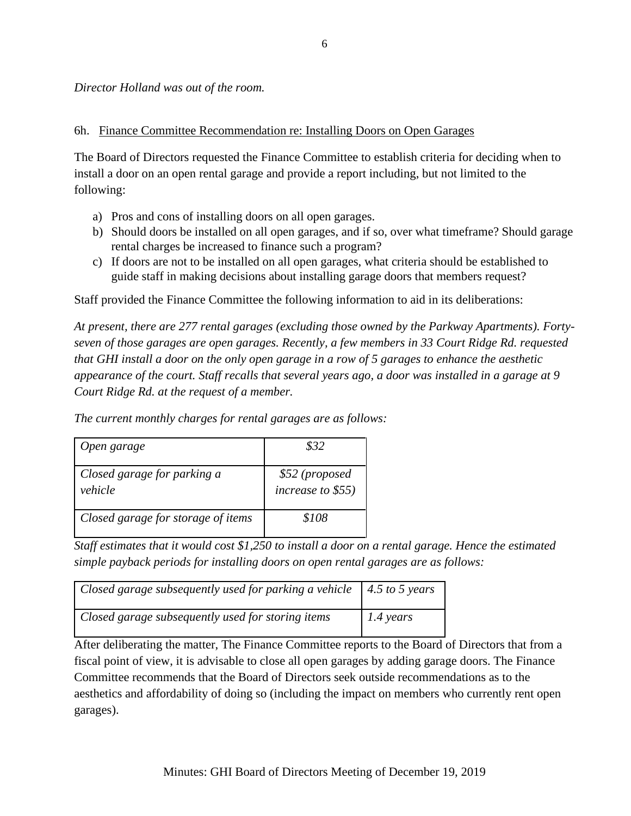*Director Holland was out of the room.*

#### 6h. Finance Committee Recommendation re: Installing Doors on Open Garages

The Board of Directors requested the Finance Committee to establish criteria for deciding when to install a door on an open rental garage and provide a report including, but not limited to the following:

- a) Pros and cons of installing doors on all open garages.
- b) Should doors be installed on all open garages, and if so, over what timeframe? Should garage rental charges be increased to finance such a program?
- c) If doors are not to be installed on all open garages, what criteria should be established to guide staff in making decisions about installing garage doors that members request?

Staff provided the Finance Committee the following information to aid in its deliberations:

*At present, there are 277 rental garages (excluding those owned by the Parkway Apartments). Fortyseven of those garages are open garages. Recently, a few members in 33 Court Ridge Rd. requested that GHI install a door on the only open garage in a row of 5 garages to enhance the aesthetic appearance of the court. Staff recalls that several years ago, a door was installed in a garage at 9 Court Ridge Rd. at the request of a member.*

| Open garage                            | \$32                                |
|----------------------------------------|-------------------------------------|
| Closed garage for parking a<br>vehicle | \$52 (proposed<br>increase to \$55) |
| Closed garage for storage of items     | \$108                               |

*The current monthly charges for rental garages are as follows:*

*Staff estimates that it would cost \$1,250 to install a door on a rental garage. Hence the estimated simple payback periods for installing doors on open rental garages are as follows:*

| Closed garage subsequently used for parking a vehicle $\vert$ 4.5 to 5 years |                     |
|------------------------------------------------------------------------------|---------------------|
| Closed garage subsequently used for storing items                            | $1.4 \text{ years}$ |

After deliberating the matter, The Finance Committee reports to the Board of Directors that from a fiscal point of view, it is advisable to close all open garages by adding garage doors. The Finance Committee recommends that the Board of Directors seek outside recommendations as to the aesthetics and affordability of doing so (including the impact on members who currently rent open garages).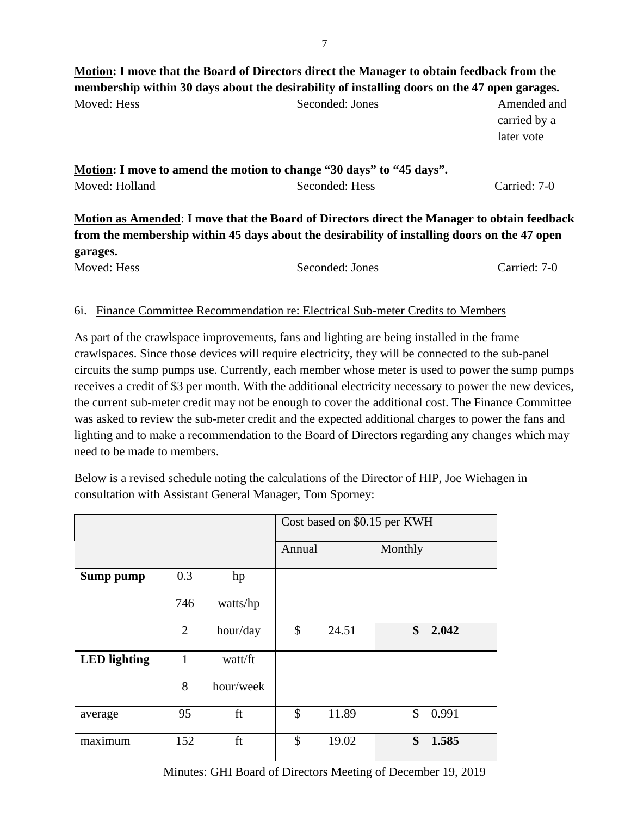# **Motion: I move that the Board of Directors direct the Manager to obtain feedback from the membership within 30 days about the desirability of installing doors on the 47 open garages.** Moved: Hess Seconded: Jones Amended and Seconded: Jones Amended and

|                                                                      | carried by a |
|----------------------------------------------------------------------|--------------|
|                                                                      | later vote   |
|                                                                      |              |
| Motion: I move to amend the motion to change "30 days" to "45 days". |              |

**Motion: I** move to Moved: Holland Seconded: Hess Carried: 7-0

**Motion as Amended**: **I move that the Board of Directors direct the Manager to obtain feedback from the membership within 45 days about the desirability of installing doors on the 47 open garages.**

| Moved: Hess | Seconded: Jones | Carried: 7-0 |
|-------------|-----------------|--------------|
|             |                 |              |

#### 6i. Finance Committee Recommendation re: Electrical Sub-meter Credits to Members

As part of the crawlspace improvements, fans and lighting are being installed in the frame crawlspaces. Since those devices will require electricity, they will be connected to the sub-panel circuits the sump pumps use. Currently, each member whose meter is used to power the sump pumps receives a credit of \$3 per month. With the additional electricity necessary to power the new devices, the current sub-meter credit may not be enough to cover the additional cost. The Finance Committee was asked to review the sub-meter credit and the expected additional charges to power the fans and lighting and to make a recommendation to the Board of Directors regarding any changes which may need to be made to members.

Below is a revised schedule noting the calculations of the Director of HIP, Joe Wiehagen in consultation with Assistant General Manager, Tom Sporney:

|                     |                |           | Cost based on \$0.15 per KWH |       |         |       |
|---------------------|----------------|-----------|------------------------------|-------|---------|-------|
|                     |                |           | Annual                       |       | Monthly |       |
| Sump pump           | 0.3            | hp        |                              |       |         |       |
|                     | 746            | watts/hp  |                              |       |         |       |
|                     | $\overline{2}$ | hour/day  | \$                           | 24.51 | \$      | 2.042 |
| <b>LED</b> lighting | 1              | watt/ft   |                              |       |         |       |
|                     | 8              | hour/week |                              |       |         |       |
| average             | 95             | ft        | $\mathcal{S}$                | 11.89 | \$      | 0.991 |
| maximum             | 152            | ft        | \$                           | 19.02 | \$      | 1.585 |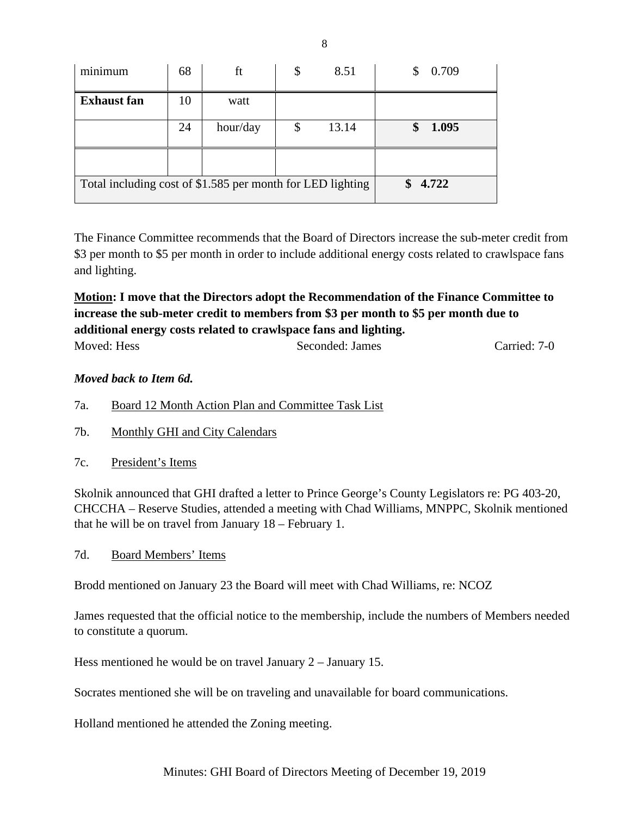| . .<br>minimum                                             | 68 | ft       | \$<br>8.51  | 0.709<br>\$ |
|------------------------------------------------------------|----|----------|-------------|-------------|
| <b>Exhaust</b> fan                                         | 10 | watt     |             |             |
|                                                            | 24 | hour/day | \$<br>13.14 | 1.095<br>\$ |
|                                                            |    |          |             |             |
| Total including cost of \$1.585 per month for LED lighting |    |          | 4.722<br>\$ |             |

The Finance Committee recommends that the Board of Directors increase the sub-meter credit from \$3 per month to \$5 per month in order to include additional energy costs related to crawlspace fans and lighting.

# **Motion: I move that the Directors adopt the Recommendation of the Finance Committee to increase the sub-meter credit to members from \$3 per month to \$5 per month due to additional energy costs related to crawlspace fans and lighting.**

| Moved: Hess | Seconded: James | Carried: 7-0 |
|-------------|-----------------|--------------|
|             |                 |              |

# *Moved back to Item 6d.*

- 7a. Board 12 Month Action Plan and Committee Task List
- 7b. Monthly GHI and City Calendars
- 7c. President's Items

Skolnik announced that GHI drafted a letter to Prince George's County Legislators re: PG 403-20, CHCCHA – Reserve Studies, attended a meeting with Chad Williams, MNPPC, Skolnik mentioned that he will be on travel from January 18 – February 1.

7d. Board Members' Items

Brodd mentioned on January 23 the Board will meet with Chad Williams, re: NCOZ

James requested that the official notice to the membership, include the numbers of Members needed to constitute a quorum.

Hess mentioned he would be on travel January 2 – January 15.

Socrates mentioned she will be on traveling and unavailable for board communications.

Holland mentioned he attended the Zoning meeting.